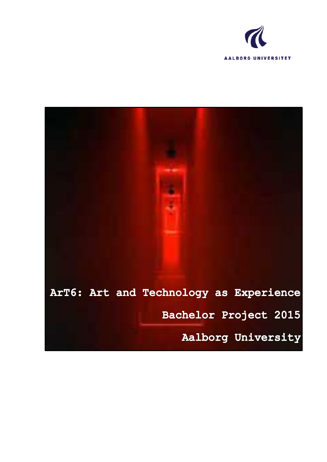

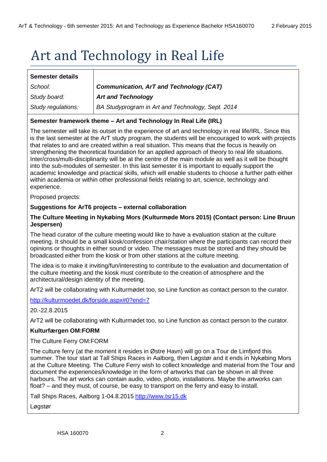# Art and Technology in Real Life

| <b>Semester details</b> |                                                   |
|-------------------------|---------------------------------------------------|
| School:                 | <b>Communication, ArT and Technology (CAT)</b>    |
| Study board:            | <b>Art and Technology</b>                         |
| Study regulations:      | BA Studyprogram in Art and Technology, Sept. 2014 |

# **Semester framework theme – Art and Technology In Real Life (IRL)**

The semester will take its outset in the experience of art and technology in real life/IRL. Since this is the last semester at the ArT study program, the students will be encouraged to work with projects that relates to and are created within a real situation. This means that the focus is heavily on strengthening the theoretical foundation for an applied approach of theory to real life situations. Inter/cross/multi-disciplinarity will be at the centre of the main module as well as it will be thought into the sub-modules of semester. In this last semester it is important to equally support the academic knowledge and practical skills, which will enable students to choose a further path either within academia or within other professional fields relating to art, science, technology and experience.

Proposed projects:

# **Suggestions for ArT6 projects – external collaboration**

# **The Culture Meeting in Nykøbing Mors (Kulturmøde Mors 2015) (Contact person: Line Bruun Jespersen)**

The head curator of the culture meeting would like to have a evaluation station at the culture meeting. It should be a small kiosk/confession chair/station where the participants can record their opinions or thoughts in either sound or video. The messages must be stored and they should be broadcasted either from the kiosk or from other stations at the culture meeting.

The idea is to make it inviting/fun/interesting to contribute to the evaluation and documentation of the culture meeting and the kiosk must contribute to the creation of atmosphere and the architectural/design identity of the meeting.

ArT2 will be collaborating with Kulturmødet too, so Line function as contact person to the curator.

<http://kulturmoedet.dk/forside.aspx#0?end=7>

20.-22.8.2015

ArT2 will be collaborating with Kulturmødet too, so Line function as contact person to the curator.

# **Kulturfærgen OM:FORM**

The Culture Ferry OM:FORM

The culture ferry (at the moment it resides in Østre Havn) will go on a Tour de Limfjord this summer. The tour start at Tall Ships Races in Aalborg, then Løgstør and it ends in Nykøbing Mors at the Culture Meeting. The Culture Ferry wish to collect knowledge and material from the Tour and document the experiences/knowledge in the form of artworks that can be shown in all three harbours. The art works can contain audio, video, photo, installations. Maybe the artworks can float? – and they must, of course, be easy to transport on the ferry and easy to install.

Tall Ships Races, Aalborg 1-04.8.2015 [http://www.tsr15.dk](http://www.tsr15.dk/)

Løgstør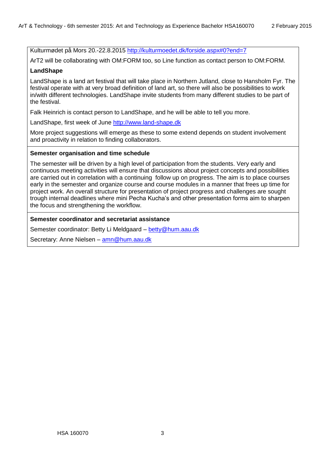Kulturmødet på Mors 20.-22.8.2015<http://kulturmoedet.dk/forside.aspx#0?end=7>

ArT2 will be collaborating with OM:FORM too, so Line function as contact person to OM:FORM.

# **LandShape**

LandShape is a land art festival that will take place in Northern Jutland, close to Hansholm Fyr. The festival operate with at very broad definition of land art, so there will also be possibilities to work in/with different technologies. LandShape invite students from many different studies to be part of the festival.

Falk Heinrich is contact person to LandShape, and he will be able to tell you more.

LandShape, first week of June [http://www.land-shape.dk](http://www.land-shape.dk/)

More project suggestions will emerge as these to some extend depends on student involvement and proactivity in relation to finding collaborators.

# **Semester organisation and time schedule**

The semester will be driven by a high level of participation from the students. Very early and continuous meeting activities will ensure that discussions about project concepts and possibilities are carried out in correlation with a continuing follow up on progress. The aim is to place courses early in the semester and organize course and course modules in a manner that frees up time for project work. An overall structure for presentation of project progress and challenges are sought trough internal deadlines where mini Pecha Kucha's and other presentation forms aim to sharpen the focus and strengthening the workflow.

#### **Semester coordinator and secretariat assistance**

Semester coordinator: Betty Li Meldgaard – [betty@hum.aau.dk](mailto:betty@hum.aau.dk)

Secretary: Anne Nielsen – [amn@hum.aau.dk](mailto:amn@hum.aau.dk)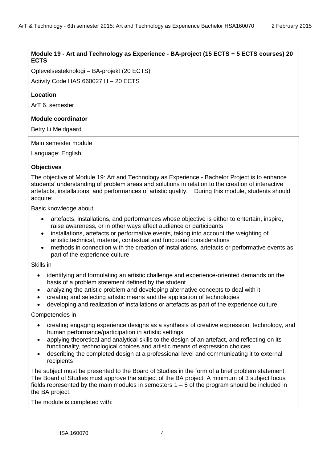# **Module 19 - Art and Technology as Experience - BA-project (15 ECTS + 5 ECTS courses) 20 ECTS**

Oplevelsesteknologi – BA-projekt (20 ECTS)

Activity Code HAS 660027 H – 20 ECTS

# **Location**

ArT 6. semester

# **Module coordinator**

Betty Li Meldgaard

Main semester module

Language: English

# **Objectives**

The objective of Module 19: Art and Technology as Experience - Bachelor Project is to enhance students' understanding of problem areas and solutions in relation to the creation of interactive artefacts, installations, and performances of artistic quality. During this module, students should acquire:

Basic knowledge about

- artefacts, installations, and performances whose objective is either to entertain, inspire, raise awareness, or in other ways affect audience or participants
- installations, artefacts or performative events, taking into account the weighting of artistic,technical, material, contextual and functional considerations
- methods in connection with the creation of installations, artefacts or performative events as part of the experience culture

# Skills in

- identifying and formulating an artistic challenge and experience-oriented demands on the basis of a problem statement defined by the student
- analyzing the artistic problem and developing alternative concepts to deal with it
- creating and selecting artistic means and the application of technologies
- developing and realization of installations or artefacts as part of the experience culture

# Competencies in

- creating engaging experience designs as a synthesis of creative expression, technology, and human performance/participation in artistic settings
- applying theoretical and analytical skills to the design of an artefact, and reflecting on its functionality, technological choices and artistic means of expression choices
- describing the completed design at a professional level and communicating it to external recipients

The subject must be presented to the Board of Studies in the form of a brief problem statement. The Board of Studies must approve the subject of the BA project. A minimum of 3 subject focus fields represented by the main modules in semesters 1 – 5 of the program should be included in the BA project.

The module is completed with: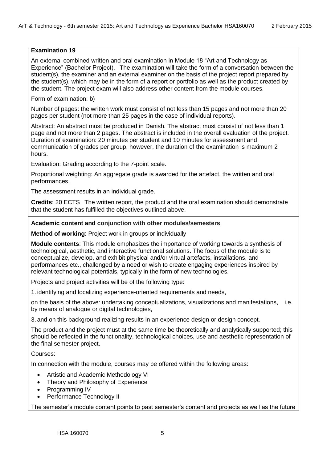# **Examination 19**

An external combined written and oral examination in Module 18 "Art and Technology as Experience" (Bachelor Project). The examination will take the form of a conversation between the student(s), the examiner and an external examiner on the basis of the project report prepared by the student(s), which may be in the form of a report or portfolio as well as the product created by the student. The project exam will also address other content from the module courses.

Form of examination: b)

Number of pages: the written work must consist of not less than 15 pages and not more than 20 pages per student (not more than 25 pages in the case of individual reports).

Abstract: An abstract must be produced in Danish. The abstract must consist of not less than 1 page and not more than 2 pages. The abstract is included in the overall evaluation of the project. Duration of examination: 20 minutes per student and 10 minutes for assessment and communication of grades per group, however, the duration of the examination is maximum 2 hours.

Evaluation: Grading according to the 7-point scale.

Proportional weighting: An aggregate grade is awarded for the artefact, the written and oral performances.

The assessment results in an individual grade.

**Credits**: 20 ECTS The written report, the product and the oral examination should demonstrate that the student has fulfilled the objectives outlined above.

# **Academic content and conjunction with other modules/semesters**

**Method of working**: Project work in groups or individually

**Module contents**: This module emphasizes the importance of working towards a synthesis of technological, aesthetic, and interactive functional solutions. The focus of the module is to conceptualize, develop, and exhibit physical and/or virtual artefacts, installations, and performances etc., challenged by a need or wish to create engaging experiences inspired by relevant technological potentials, typically in the form of new technologies.

Projects and project activities will be of the following type:

1. identifying and localizing experience-oriented requirements and needs,

on the basis of the above: undertaking conceptualizations, visualizations and manifestations, i.e. by means of analogue or digital technologies,

3. and on this background realizing results in an experience design or design concept.

The product and the project must at the same time be theoretically and analytically supported; this should be reflected in the functionality, technological choices, use and aesthetic representation of the final semester project.

Courses:

In connection with the module, courses may be offered within the following areas:

- Artistic and Academic Methodology VI
- Theory and Philosophy of Experience
- Programming IV
- Performance Technology II

The semester's module content points to past semester's content and projects as well as the future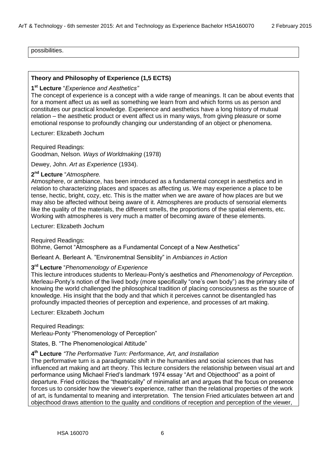possibilities.

#### **Theory and Philosophy of Experience (1,5 ECTS)**

# **1 st Lecture** ―*Experience and Aesthetics"*

The concept of experience is a concept with a wide range of meanings. It can be about events that for a moment affect us as well as something we learn from and which forms us as person and constitutes our practical knowledge. Experience and aesthetics have a long history of mutual relation – the aesthetic product or event affect us in many ways, from giving pleasure or some emotional response to profoundly changing our understanding of an object or phenomena.

Lecturer: Elizabeth Jochum

Required Readings: Goodman, Nelson. *Ways of Worldmaking* (1978)

Dewey, John. *Art as Experience* (1934).

#### 2<sup>nd</sup> Lecture "Atmosphere.

Atmosphere, or ambiance, has been introduced as a fundamental concept in aesthetics and in relation to characterizing places and spaces as affecting us. We may experience a place to be tense, hectic, bright, cozy, etc. This is the matter when we are aware of how places are but we may also be affected without being aware of it. Atmospheres are products of sensorial elements like the quality of the materials, the different smells, the proportions of the spatial elements, etc. Working with atmospheres is very much a matter of becoming aware of these elements.

Lecturer: Elizabeth Jochum

Required Readings: Böhme, Gernot "Atmosphere as a Fundamental Concept of a New Aesthetics"

Berleant A. Berleant A. "Environemtnal Sensiblity" in *Ambiances in Action* 

#### **3 rd Lecture** ―*Phenomenology of Experience*

This lecture introduces students to Merleau-Ponty's aesthetics and *Phenomenology of Perception*. Merleau-Ponty's notion of the lived body (more specifically "one's own body") as the primary site of knowing the world challenged the philosophical tradition of placing consciousness as the source of knowledge. His insight that the body and that which it perceives cannot be disentangled has profoundly impacted theories of perception and experience, and processes of art making.

Lecturer: Elizabeth Jochum

Required Readings: Merleau-Ponty "Phenomenology of Perception"

States, B. "The Phenomenological Attitude"

#### **4 th Lecture** *"The Performative Turn: Performance, Art, and Installation*

The performative turn is a paradigmatic shift in the humanities and social sciences that has influenced art making and art theory. This lecture considers the relationship between visual art and performance using Michael Fried's landmark 1974 essay "Art and Objecthood" as a point of departure. Fried criticizes the "theatricality" of minimalist art and argues that the focus on presence forces us to consider how the viewer's experience, rather than the relational properties of the work of art, is fundamental to meaning and interpretation. The tension Fried articulates between art and objecthood draws attention to the quality and conditions of reception and perception of the viewer,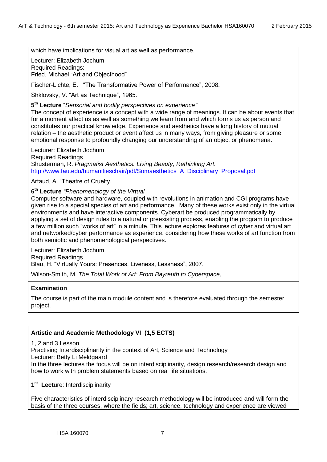which have implications for visual art as well as performance.

Lecturer: Elizabeth Jochum Required Readings:

Fried, Michael "Art and Objecthood"

Fischer-Lichte, E. "The Transformative Power of Performance", 2008.

Shklovsky, V. "Art as Technique", 1965.

5<sup>th</sup> Lecture "Sensorial and bodily perspectives on experience"

The concept of experience is a concept with a wide range of meanings. It can be about events that for a moment affect us as well as something we learn from and which forms us as person and constitutes our practical knowledge. Experience and aesthetics have a long history of mutual relation – the aesthetic product or event affect us in many ways, from giving pleasure or some emotional response to profoundly changing our understanding of an object or phenomena.

Lecturer: Elizabeth Jochum Required Readings Shusterman, R. *Pragmatist Aesthetics. Living Beauty, Rethinking Art.*  [http://www.fau.edu/humanitieschair/pdf/Somaesthetics\\_A\\_Disciplinary\\_Proposal.pdf](http://www.fau.edu/humanitieschair/pdf/Somaesthetics_A_Disciplinary_Proposal.pdf)

Artaud, A. "Theatre of Cruelty.

**6 th Lecture** *"Phenomenology of the Virtual*

Computer software and hardware, coupled with revolutions in animation and CGI programs have given rise to a special species of art and performance. Many of these works exist only in the virtual environments and have interactive components. Cyberart be produced programmatically by applying a set of design rules to a natural or preexisting process, enabling the program to produce a few million such "works of art" in a minute. This lecture explores features of cyber and virtual art and networked/cyber performance as experience, considering how these works of art function from both semiotic and phenomenological perspectives.

Lecturer: Elizabeth Jochum Required Readings Blau, H. "Virtually Yours: Presences, Liveness, Lessness", 2007.

Wilson-Smith, M. *The Total Work of Art: From Bayreuth to Cyberspace*,

# **Examination**

The course is part of the main module content and is therefore evaluated through the semester project.

# **Artistic and Academic Methodology VI (1,5 ECTS)**

1, 2 and 3 Lesson

Practising Interdisciplinarity in the context of Art, Science and Technology

Lecturer: Betty Li Meldgaard

In the three lectures the focus will be on interdisciplinarity, design research/research design and how to work with problem statements based on real life situations.

**1 st Lect**ure: Interdisciplinarity

Five characteristics of interdisciplinary research methodology will be introduced and will form the basis of the three courses, where the fields; art, science, technology and experience are viewed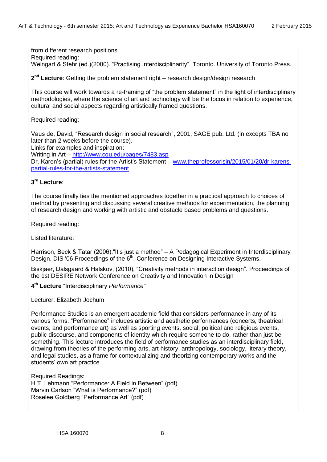from different research positions. Required reading: Weingart & Stehr (ed.)(2000). "Practising Interdisciplinarity". Toronto. University of Toronto Press.

2<sup>nd</sup> Lecture: Getting the problem statement right – research design/design research

This course will work towards a re-framing of "the problem statement" in the light of interdisciplinary methodologies, where the science of art and technology will be the focus in relation to experience, cultural and social aspects regarding artistically framed questions.

Required reading:

Vaus de, David, "Research design in social research", 2001, SAGE pub. Ltd. (in excepts TBA no later than 2 weeks before the course).

Links for examples and inspiration:

Writing in Art – <http://www.cgu.edu/pages/7483.asp>

Dr. Karen's (partial) rules for the Artist's Statement – [www.theprofessorisin/2015/01/20/dr-karens](http://www.theprofessorisin/2015/01/20/dr-karens-partial-rules-for-the-artists-statement)[partial-rules-for-the-artists-statement](http://www.theprofessorisin/2015/01/20/dr-karens-partial-rules-for-the-artists-statement)

# **3 rd Lecture**:

The course finally ties the mentioned approaches together in a practical approach to choices of method by presenting and discussing several creative methods for experimentation, the planning of research design and working with artistic and obstacle based problems and questions.

Required reading:

Listed literature:

Harrison, Beck & Tatar (2006). "It's just a method" – A Pedagogical Experiment in Interdisciplinary Design. DIS '06 Proceedings of the 6<sup>th</sup>. Conference on Designing Interactive Systems.

Biskiaer, Dalsgaard & Halskov, (2010), "Creativity methods in interaction design". Proceedings of the 1st DESIRE Network Conference on Creativity and Innovation in Design

**4 th Lecture** ―Interdisciplinary *Performance"*

Lecturer: Elizabeth Jochum

Performance Studies is an emergent academic field that considers performance in any of its various forms. "Performance" includes artistic and aesthetic performances (concerts, theatrical events, and performance art) as well as sporting events, social, political and religious events, public discourse, and components of identity which require someone to do, rather than just be, something. This lecture introduces the field of performance studies as an interdisciplinary field, drawing from theories of the performing arts, art history, anthropology, sociology, literary theory, and legal studies, as a frame for contextualizing and theorizing contemporary works and the students' own art practice.

Required Readings: H.T. Lehmann "Performance: A Field in Between" (pdf) Marvin Carlson "What is Performance?" (pdf) Roselee Goldberg "Performance Art" (pdf)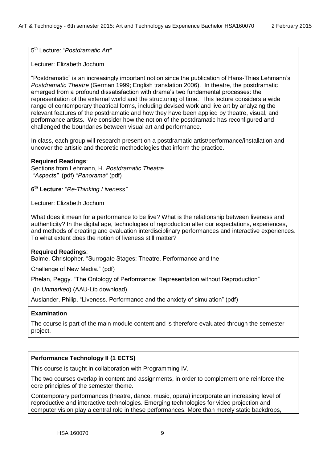5<sup>th</sup> Lecture: "Postdramatic Art"

Lecturer: Elizabeth Jochum

―Postdramatic‖ is an increasingly important notion since the publication of Hans-Thies Lehmann's *Postdramatic Theatre* (German 1999; English translation 2006). In theatre, the postdramatic emerged from a profound dissatisfaction with drama's two fundamental processes: the representation of the external world and the structuring of time. This lecture considers a wide range of contemporary theatrical forms, including devised work and live art by analyzing the relevant features of the postdramatic and how they have been applied by theatre, visual, and performance artists. We consider how the notion of the postdramatic has reconfigured and challenged the boundaries between visual art and performance.

In class, each group will research present on a postdramatic artist/performance/installation and uncover the artistic and theoretic methodologies that inform the practice.

# **Required Readings**:

Sections from Lehmann, H. *Postdramatic Theatre "Aspects"* (pdf) *"Panorama"* (pdf)

**6 th Lecture**: ―*Re-Thinking Liveness"*

Lecturer: Elizabeth Jochum

What does it mean for a performance to be live? What is the relationship between liveness and authenticity? In the digital age, technologies of reproduction alter our expectations, experiences, and methods of creating and evaluation interdisciplinary performances and interactive experiences. To what extent does the notion of liveness still matter?

# **Required Readings**:

Balme, Christopher. "Surrogate Stages: Theatre, Performance and the

Challenge of New Media." (pdf)

Phelan, Peggy. "The Ontology of Performance: Representation without Reproduction"

(In *Unmarked*) (AAU-Lib download).

Auslander, Philip. "Liveness. Performance and the anxiety of simulation" (pdf)

# **Examination**

The course is part of the main module content and is therefore evaluated through the semester project.

# **Performance Technology II (1 ECTS)**

This course is taught in collaboration with Programming IV.

The two courses overlap in content and assignments, in order to complement one reinforce the core principles of the semester theme.

Contemporary performances (theatre, dance, music, opera) incorporate an increasing level of reproductive and interactive technologies. Emerging technologies for video projection and computer vision play a central role in these performances. More than merely static backdrops,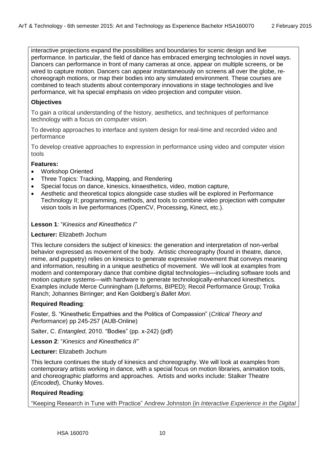interactive projections expand the possibilities and boundaries for scenic design and live performance. In particular, the field of dance has embraced emerging technologies in novel ways. Dancers can performance in front of many cameras at once, appear on multiple screens, or be wired to capture motion. Dancers can appear instantaneously on screens all over the globe, rechoreograph motions, or map their bodies into any simulated environment. These courses are combined to teach students about contemporary innovations in stage technologies and live performance, wit ha special emphasis on video projection and computer vision.

# **Objectives**

To gain a critical understanding of the history, aesthetics, and techniques of performance technology with a focus on computer vision.

To develop approaches to interface and system design for real-time and recorded video and performance

To develop creative approaches to expression in performance using video and computer vision tools

# **Features:**

- Workshop Oriented
- Three Topics: Tracking, Mapping, and Rendering
- Special focus on dance, kinesics, kinaesthetics, video, motion capture,
- Aesthetic and theoretical topics alongside case studies will be explored in Performance Technology II; programming, methods, and tools to combine video projection with computer vision tools in live performances (OpenCV, Processing, Kinect, etc.).

# **Lesson 1: "Kinesics and Kinesthetics I"**

# **Lecturer:** Elizabeth Jochum

This lecture considers the subject of kinesics: the generation and interpretation of non-verbal behavior expressed as movement of the body. Artistic choreography (found in theatre, dance, mime, and puppetry) relies on kinesics to generate expressive movement that conveys meaning and information, resulting in a unique aesthetics of movement. We will look at examples from modern and contemporary dance that combine digital technologies—including software tools and motion capture systems—with hardware to generate technologically-enhanced kinesthetics. Examples include Merce Cunningham (Lifeforms, BIPED); Recoil Performance Group; Troika Ranch; Johannes Birringer; and Ken Goldberg's *Ballet Mori*.

# **Required Reading***:*

Foster, S. "Kinesthetic Empathies and the Politics of Compassion" (*Critical Theory and Performance*) pp 245-257 (AUB-Online)

Salter, C. *Entangled*, 2010. "Bodies" (pp. x-242) (pdf)

**Lesson 2: "Kinesics and Kinesthetics II"** 

**Lecturer:** Elizabeth Jochum

This lecture continues the study of kinesics and choreography. We will look at examples from contemporary artists working in dance, with a special focus on motion libraries, animation tools, and choreographic platforms and approaches. Artists and works include: Stalker Theatre (*Encoded*), Chunky Moves.

# **Required Reading***:*

―Keeping Research in Tune with Practice‖ [Andrew Johnston](http://link.springer.com/search?facet-author=%22Andrew+Johnston%22) (in *Interactive Experience in the Digital*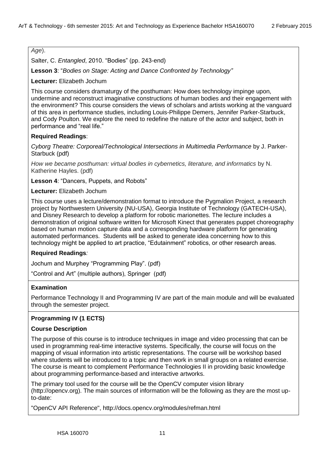# *Age*).

Salter, C. *Entangled*, 2010. "Bodies" (pp. 243-end)

**Lesson 3: "Bodies on Stage: Acting and Dance Confronted by Technology"** 

**Lecturer:** Elizabeth Jochum

This course considers dramaturgy of the posthuman: How does technology impinge upon, undermine and reconstruct imaginative constructions of human bodies and their engagement with the environment? This course considers the views of scholars and artists working at the vanguard of this area in performance studies, including Louis-Philippe Demers, Jennifer Parker-Starbuck, and Cody Poulton. We explore the need to redefine the nature of the actor and subject, both in performance and "real life."

# **Required Readings**:

*Cyborg Theatre: Corporeal/Technological Intersections in Multimedia Performance* by J. Parker-Starbuck (pdf)

*How we became posthuman: virtual bodies in cybernetics, literature, and informatics* by N. Katherine Hayles. (pdf)

Lesson 4: "Dancers, Puppets, and Robots"

**Lecturer:** Elizabeth Jochum

This course uses a lecture/demonstration format to introduce the Pygmalion Project, a research project by Northwestern University (NU-USA), Georgia Institute of Technology (GATECH-USA), and Disney Research to develop a platform for robotic marionettes. The lecture includes a demonstration of original software written for Microsoft Kinect that generates puppet choreography based on human motion capture data and a corresponding hardware platform for generating automated performances. Students will be asked to generate idea concerning how to this technology might be applied to art practice, "Edutainment" robotics, or other research areas.

# **Required Readings***:*

Jochum and Murphey "Programming Play". (pdf)

―Control and Art‖ (multiple authors), Springer (pdf)

# **Examination**

Performance Technology II and Programming IV are part of the main module and will be evaluated through the semester project.

# **Programming IV (1 ECTS)**

# **Course Description**

The purpose of this course is to introduce techniques in image and video processing that can be used in programming real-time interactive systems. Specifically, the course will focus on the mapping of visual information into artistic representations. The course will be workshop based where students will be introduced to a topic and then work in small groups on a related exercise. The course is meant to complement Performance Technologies II in providing basic knowledge about programming performance-based and interactive artworks.

The primary tool used for the course will be the OpenCV computer vision library (http://opencv.org). The main sources of information will be the following as they are the most upto-date:

"OpenCV API Reference", http://docs.opencv.org/modules/refman.html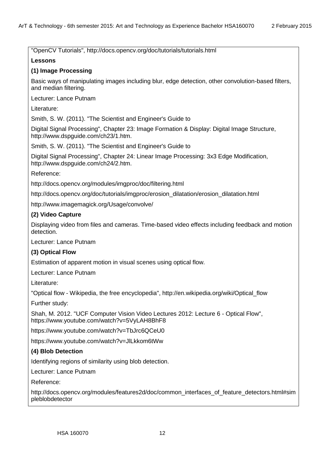"OpenCV Tutorials", http://docs.opencv.org/doc/tutorials/tutorials.html

# **Lessons**

# **(1) Image Processing**

Basic ways of manipulating images including blur, edge detection, other convolution-based filters, and median filtering.

Lecturer: Lance Putnam

Literature:

Smith, S. W. (2011). "The Scientist and Engineer's Guide to

Digital Signal Processing", Chapter 23: Image Formation & Display: Digital Image Structure, http://www.dspguide.com/ch23/1.htm.

Smith, S. W. (2011). "The Scientist and Engineer's Guide to

Digital Signal Processing", Chapter 24: Linear Image Processing: 3x3 Edge Modification, http://www.dspguide.com/ch24/2.htm.

Reference:

http://docs.opencv.org/modules/imgproc/doc/filtering.html

http://docs.opencv.org/doc/tutorials/imgproc/erosion\_dilatation/erosion\_dilatation.html

http://www.imagemagick.org/Usage/convolve/

# **(2) Video Capture**

Displaying video from files and cameras. Time-based video effects including feedback and motion detection.

Lecturer: Lance Putnam

# **(3) Optical Flow**

Estimation of apparent motion in visual scenes using optical flow.

Lecturer: Lance Putnam

Literature:

"Optical flow - Wikipedia, the free encyclopedia", http://en.wikipedia.org/wiki/Optical\_flow

Further study:

Shah, M. 2012. "UCF Computer Vision Video Lectures 2012: Lecture 6 - Optical Flow", https://www.youtube.com/watch?v=5VyLAH8BhF8

https://www.youtube.com/watch?v=TbJrc6QCeU0

https://www.youtube.com/watch?v=JlLkkom6tWw

# **(4) Blob Detection**

Identifying regions of similarity using blob detection.

Lecturer: Lance Putnam

Reference:

http://docs.opencv.org/modules/features2d/doc/common\_interfaces\_of\_feature\_detectors.html#sim pleblobdetector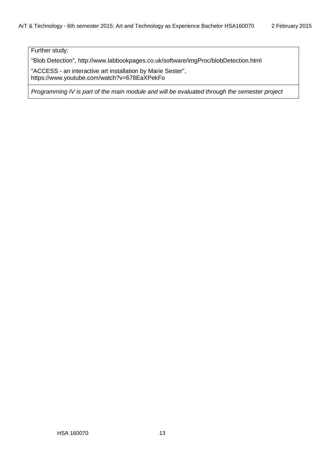Further study:

"Blob Detection", http://www.labbookpages.co.uk/software/imgProc/blobDetection.html

"ACCESS - an interactive art installation by Marie Sester", https://www.youtube.com/watch?v=678EaXPekFo

*Programming IV is part of the main module and will be evaluated through the semester project*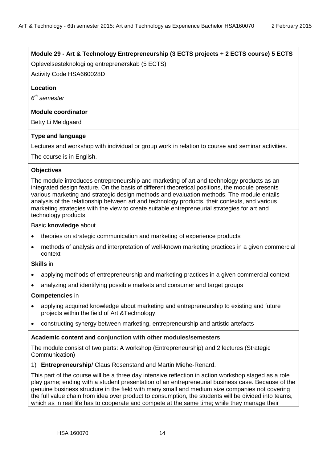# **Module 29 - Art & Technology Entrepreneurship (3 ECTS projects + 2 ECTS course) 5 ECTS**

Oplevelsesteknologi og entreprenørskab (5 ECTS)

Activity Code HSA660028D

# **Location**

*6 th semester*

# **Module coordinator**

Betty Li Meldgaard

# **Type and language**

Lectures and workshop with individual or group work in relation to course and seminar activities.

The course is in English.

# **Objectives**

The module introduces entrepreneurship and marketing of art and technology products as an integrated design feature. On the basis of different theoretical positions, the module presents various marketing and strategic design methods and evaluation methods. The module entails analysis of the relationship between art and technology products, their contexts, and various marketing strategies with the view to create suitable entrepreneurial strategies for art and technology products.

# Basic **knowledge** about

- theories on strategic communication and marketing of experience products
- methods of analysis and interpretation of well-known marketing practices in a given commercial context

# **Skills** in

- applying methods of entrepreneurship and marketing practices in a given commercial context
- analyzing and identifying possible markets and consumer and target groups

# **Competencies** in

- applying acquired knowledge about marketing and entrepreneurship to existing and future projects within the field of Art &Technology.
- constructing synergy between marketing, entrepreneurship and artistic artefacts

# **Academic content and conjunction with other modules/semesters**

The module consist of two parts: A workshop (Entrepreneurship) and 2 lectures (Strategic Communication)

1) **Entrepreneurship**/ Claus Rosenstand and Martin Miehe-Renard.

This part of the course will be a three day intensive reflection in action workshop staged as a role play game; ending with a student presentation of an entrepreneurial business case. Because of the genuine business structure in the field with many small and medium size companies not covering the full value chain from idea over product to consumption, the students will be divided into teams, which as in real life has to cooperate and compete at the same time; while they manage their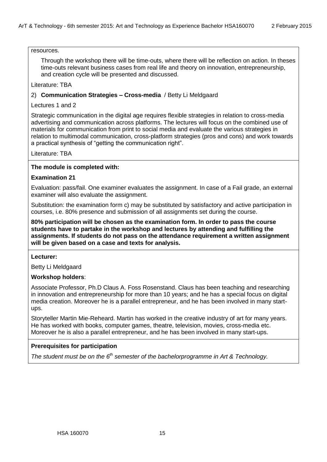# resources.

Through the workshop there will be time-outs, where there will be reflection on action. In theses time-outs relevant business cases from real life and theory on innovation, entrepreneurship, and creation cycle will be presented and discussed.

Literature: TBA

# 2) **Communication Strategies – Cross-media** / Betty Li Meldgaard

# Lectures 1 and 2

Strategic communication in the digital age requires flexible strategies in relation to cross-media advertising and communication across platforms. The lectures will focus on the combined use of materials for communication from print to social media and evaluate the various strategies in relation to multimodal communication, cross-platform strategies (pros and cons) and work towards a practical synthesis of "getting the communication right".

Literature: TBA

# **The module is completed with:**

# **Examination 21**

Evaluation: pass/fail. One examiner evaluates the assignment. In case of a Fail grade, an external examiner will also evaluate the assignment.

Substitution: the examination form c) may be substituted by satisfactory and active participation in courses, i.e. 80% presence and submission of all assignments set during the course.

**80% participation will be chosen as the examination form. In order to pass the course students have to partake in the workshop and lectures by attending and fulfilling the assignments. If students do not pass on the attendance requirement a written assignment will be given based on a case and texts for analysis.**

# **Lecturer:**

Betty Li Meldgaard

# **Workshop holders**:

Associate Professor, Ph.D Claus A. Foss Rosenstand. Claus has been teaching and researching in innovation and entrepreneurship for more than 10 years; and he has a special focus on digital media creation. Moreover he is a parallel entrepreneur, and he has been involved in many startups.

Storyteller Martin Mie-Reheard. Martin has worked in the creative industry of art for many years. He has worked with books, computer games, theatre, television, movies, cross-media etc. Moreover he is also a parallel entrepreneur, and he has been involved in many start-ups.

# **Prerequisites for participation**

*The student must be on the 6th semester of the bachelorprogramme in Art & Technology.*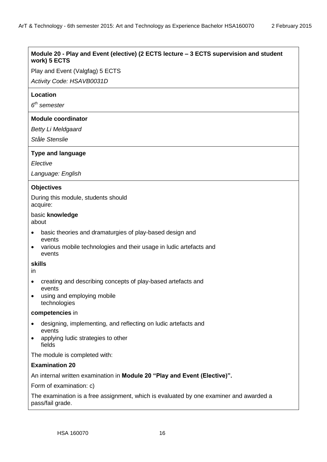# **Module 20 - Play and Event (elective) (2 ECTS lecture – 3 ECTS supervision and student work) 5 ECTS**

Play and Event (Valgfag) 5 ECTS

*Activity Code: HSAVB0031D*

#### **Location**

*6 th semester*

#### **Module coordinator**

*Betty Li Meldgaard*

*Ståle Stenslie*

#### **Type and language**

*Elective*

*Language: English*

# **Objectives**

During this module, students should acquire:

# basic **knowledge**

about

- basic theories and dramaturgies of play-based design and events
- various mobile technologies and their usage in ludic artefacts and events

#### **skills**

in

- creating and describing concepts of play-based artefacts and events
- using and employing mobile technologies

#### **competencies** in

- designing, implementing, and reflecting on ludic artefacts and events
- applying ludic strategies to other fields

The module is completed with:

# **Examination 20**

An internal written examination in **Module 20 "Play and Event (Elective)".**

Form of examination: c)

The examination is a free assignment, which is evaluated by one examiner and awarded a pass/fail grade.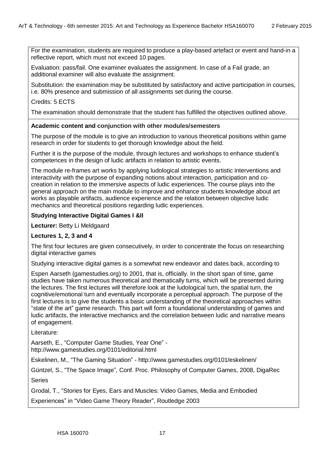For the examination, students are required to produce a play-based artefact or event and hand-in a reflective report, which must not exceed 10 pages.

Evaluation: pass/fail. One examiner evaluates the assignment. In case of a Fail grade, an additional examiner will also evaluate the assignment.

Substitution: the examination may be substituted by satisfactory and active participation in courses, i.e. 80% presence and submission of all assignments set during the course.

# Credits: 5 ECTS

The examination should demonstrate that the student has fulfilled the objectives outlined above.

#### **Academic content and conjunction with other modules/semesters**

The purpose of the module is to give an introduction to various theoretical positions within game research in order for students to get thorough knowledge about the field.

Further it is the purpose of the module, through lectures and workshops to enhance student's competences in the design of ludic artifacts in relation to artistic events.

The module re-frames art works by applying ludological strategies to artistic interventions and interactivity with the purpose of expanding notions about interaction, participation and cocreation in relation to the immersive aspects of ludic experiences. The course plays into the general approach on the main module to improve and enhance students knowledge about art works as playable artifacts, audience experience and the relation between objective ludic mechanics and theoretical positions regarding ludic experiences.

# **Studying Interactive Digital Games I &II**

**Lecturer:** Betty Li Meldgaard

# **Lectures 1, 2, 3 and 4**

The first four lectures are given consecutively, in order to concentrate the focus on researching digital interactive games

Studying interactive digital games is a somewhat new endeavor and dates back, according to

Espen Aarseth (gamestudies.org) to 2001, that is, officially. In the short span of time, game studies have taken numerous theoretical and thematically turns, which will be presented during the lectures. The first lectures will therefore look at the ludological turn, the spatial turn, the cognitive/emotional turn and eventually incorporate a perceptual approach. The purpose of the first lectures is to give the students a basic understanding of the theoretical approaches within ―state of the art‖ game research. This part will form a foundational understanding of games and ludic artifacts, the interactive mechanics and the correlation between ludic and narrative means of engagement.

Literature:

Aarseth, E., "Computer Game Studies, Year One"  <http://www.gamestudies.org/0101/editorial.html>

Eskelinen, M., "The Gaming Situation" - <http://www.gamestudies.org/0101/eskelinen/>

Güntzel, S., "The Space Image", Conf. Proc. Philosophy of Computer Games, 2008, DigaRec Series

Grodal, T., ―Stories for Eyes, Ears and Muscles: Video Games, Media and Embodied

Experiences" in "Video Game Theory Reader", Routledge 2003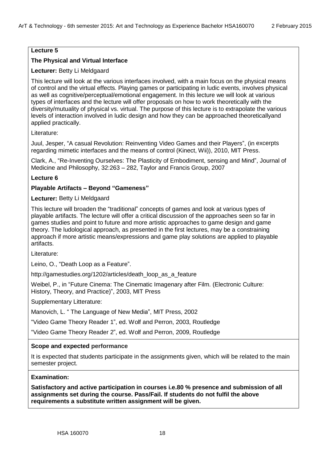# **Lecture 5**

# **The Physical and Virtual Interface**

# **Lecturer:** Betty Li Meldgaard

This lecture will look at the various interfaces involved, with a main focus on the physical means of control and the virtual effects. Playing games or participating in ludic events, involves physical as well as cognitive/perceptual/emotional engagement. In this lecture we will look at various types of interfaces and the lecture will offer proposals on how to work theoretically with the diversity/mutuality of physical vs. virtual. The purpose of this lecture is to extrapolate the various levels of interaction involved in ludic design and how they can be approached theoreticallyand applied practically.

Literature:

Juul, Jesper, "A casual Revolution: Reinventing Video Games and their Players", (in excerpts regarding mimetic interfaces and the means of control (Kinect, Wii)), 2010, MIT Press.

Clark, A., "Re-Inventing Ourselves: The Plasticity of Embodiment, sensing and Mind", Journal of Medicine and Philosophy, 32:263 – 282, Taylor and Francis Group, 2007

# **Lecture 6**

# **Playable Artifacts – Beyond "Gameness"**

# **Lecturer:** Betty Li Meldgaard

This lecture will broaden the "traditional" concepts of games and look at various types of playable artifacts. The lecture will offer a critical discussion of the approaches seen so far in games studies and point to future and more artistic approaches to game design and game theory. The ludological approach, as presented in the first lectures, may be a constraining approach if more artistic means/expressions and game play solutions are applied to playable artifacts.

Literature:

Leino, O., "Death Loop as a Feature".

[http://gamestudies.org/1202/articles/death\\_loop\\_as\\_a\\_feature](http://gamestudies.org/1202/articles/death_loop_as_a_feature)

Weibel, P., in "Future Cinema: The Cinematic Imagenary after Film. (Electronic Culture: History, Theory, and Practice)", 2003, MIT Press

Supplementary Litterature:

Manovich, L. "The Language of New Media", MIT Press, 2002

―Video Game Theory Reader 1‖, ed. Wolf and Perron, 2003, Routledge

―Video Game Theory Reader 2‖, ed. Wolf and Perron, 2009, Routledge

# **Scope and expected performance**

It is expected that students participate in the assignments given, which will be related to the main semester project.

#### **Examination:**

**Satisfactory and active participation in courses i.e.80 % presence and submission of all assignments set during the course. Pass/Fail. If students do not fulfil the above requirements a substitute written assignment will be given.**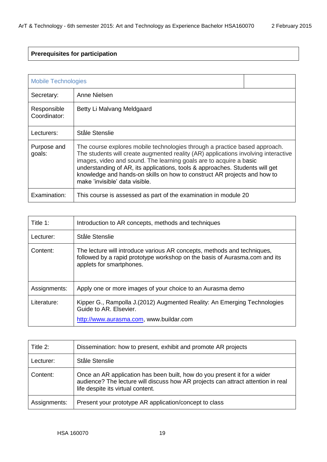# **Prerequisites for participation**

|                             | <b>Mobile Technologies</b>                                                                                                                                                                                                                                                                                                                                                                                                           |  |
|-----------------------------|--------------------------------------------------------------------------------------------------------------------------------------------------------------------------------------------------------------------------------------------------------------------------------------------------------------------------------------------------------------------------------------------------------------------------------------|--|
| Secretary:                  | Anne Nielsen                                                                                                                                                                                                                                                                                                                                                                                                                         |  |
| Responsible<br>Coordinator: | Betty Li Malvang Meldgaard                                                                                                                                                                                                                                                                                                                                                                                                           |  |
| Lecturers:                  | Ståle Stenslie                                                                                                                                                                                                                                                                                                                                                                                                                       |  |
| Purpose and<br>goals:       | The course explores mobile technologies through a practice based approach.<br>The students will create augmented reality (AR) applications involving interactive<br>images, video and sound. The learning goals are to acquire a basic<br>understanding of AR, its applications, tools & approaches. Students will get<br>knowledge and hands-on skills on how to construct AR projects and how to<br>make 'invisible' data visible. |  |
| Examination:                | This course is assessed as part of the examination in module 20                                                                                                                                                                                                                                                                                                                                                                      |  |

| Title 1:     | Introduction to AR concepts, methods and techniques                                                                                                                               |
|--------------|-----------------------------------------------------------------------------------------------------------------------------------------------------------------------------------|
| Lecturer:    | Ståle Stenslie                                                                                                                                                                    |
| Content:     | The lecture will introduce various AR concepts, methods and techniques,<br>followed by a rapid prototype workshop on the basis of Aurasma.com and its<br>applets for smartphones. |
| Assignments: | Apply one or more images of your choice to an Aurasma demo                                                                                                                        |
| Literature:  | Kipper G., Rampolla J. (2012) Augmented Reality: An Emerging Technologies<br>Guide to AR. Elsevier.<br>http://www.aurasma.com, www.buildar.com                                    |

| Title 2:     | Dissemination: how to present, exhibit and promote AR projects                                                                                                                                    |
|--------------|---------------------------------------------------------------------------------------------------------------------------------------------------------------------------------------------------|
| Lecturer:    | Ståle Stenslie                                                                                                                                                                                    |
| Content:     | Once an AR application has been built, how do you present it for a wider<br>audience? The lecture will discuss how AR projects can attract attention in real<br>life despite its virtual content. |
| Assignments: | Present your prototype AR application/concept to class                                                                                                                                            |